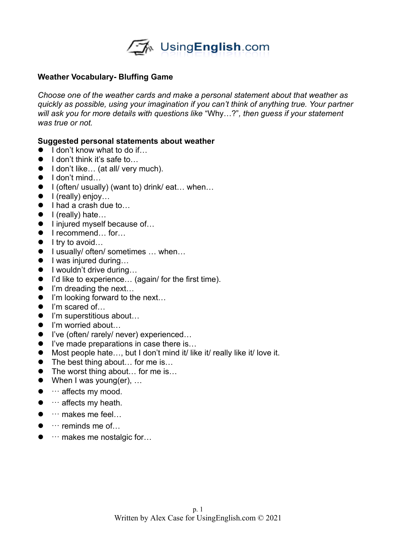

## **Weather Vocabulary- Bluffing Game**

*Choose one of the weather cards and make a personal statement about that weather as quickly as possible, using your imagination if you can't think of anything true. Your partner will ask you for more details with questions like* "Why…?"*, then guess if your statement was true or not.* 

## **Suggested personal statements about weather**

- $\bullet$  I don't know what to do if
- $\bullet$  I don't think it's safe to...
- I don't like... (at all/ very much).
- $\bullet$  I don't mind...
- $\bullet$  I (often/ usually) (want to) drink/ eat... when...
- $\bullet$  I (really) enjoy...
- I had a crash due to...
- $\bullet$  I (really) hate...
- I injured myself because of...
- I recommend... for...
- $\bullet$  I try to avoid...
- I usually/ often/ sometimes ... when...
- I was injured during...
- I wouldn't drive during...
- I'd like to experience... (again/ for the first time).
- $\bullet$  I'm dreading the next...
- I'm looking forward to the next...
- I'm scared of...
- I'm superstitious about...
- I'm worried about...
- I've (often/ rarely/ never) experienced...
- I've made preparations in case there is...
- Most people hate..., but I don't mind it/ like it/ really like it/ love it.
- The best thing about... for me is...
- The worst thing about... for me is...
- When I was young(er), ...
- $\bullet$   $\cdots$  affects my mood.
- $\bullet$   $\cdots$  affects my heath.
- $\bullet$   $\cdots$  makes me feel...
- $\bullet$   $\cdots$  reminds me of...
- $\bullet$   $\cdots$  makes me nostalgic for...